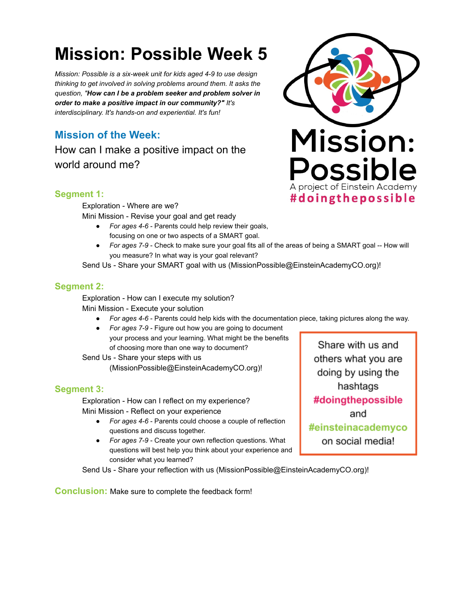# **Mission: Possible Week 5**

*Mission: Possible is a six-week unit for kids aged 4-9 to use design thinking to get involved in solving problems around them. It asks the question, " How can I be a problem seeker and problem solver in order to make a positive impact in our community?" It's interdisciplinary. It's hands-on and experiential. It's fun!* 

# **Mission of the Week:**

How can I make a positive impact on the world around me?



## **Segment 1:**

Exploration - Where are we?

Mini Mission - Revise your goal and get ready

- *For ages 4-6*  Parents could help review their goals, focusing on one or two aspects of a SMART goal.
- *For ages 7-9*  Check to make sure your goal fits all of the areas of being a SMART goal -- How will you measure? In what way is your goal relevant?

Send Us - Share your SMART goal with us (MissionPossible@EinsteinAcademyCO.org)!

#### **Segment 2:**

Exploration - How can I execute my solution? Mini Mission - Execute your solution

- *For ages 4-6*  Parents could help kids with the documentation piece, taking pictures along the way.
- *For ages 7-9*  Figure out how you are going to document your process and your learning. What might be the benefits of choosing more than one way to document?

Send Us - Share your steps with us (MissionPossible@EinsteinAcademyCO.org)!

## **Segment 3:**

Exploration - How can I reflect on my experience? Mini Mission - Reflect on your experience

- *For ages 4-6*  Parents could choose a couple of reflection questions and discuss together.
- *For ages 7-9*  Create your own reflection questions. What questions will best help you think about your experience and consider what you learned?

Send Us - Share your reflection with us (MissionPossible@EinsteinAcademyCO.org)!

**Conclusion:** Make sure to complete the feedback form!

Share with us and others what you are doing by using the hashtags #doingthepossible and #einsteinacademyco on social media!